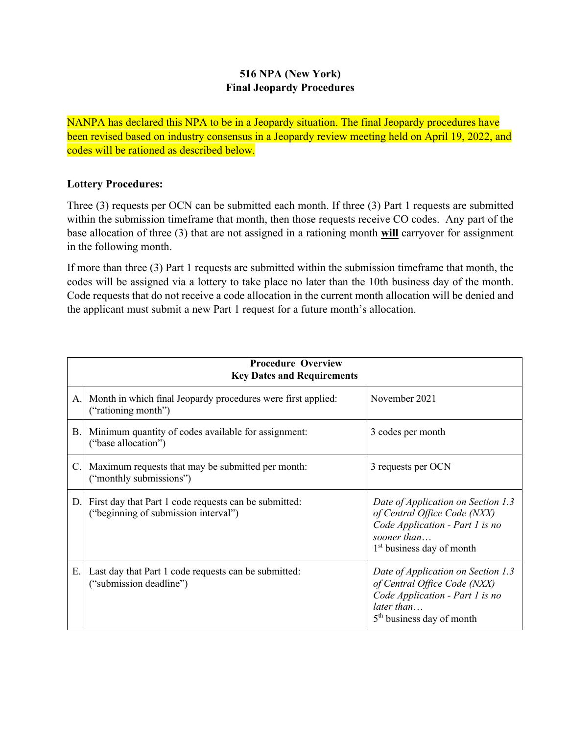## **516 NPA (New York) Final Jeopardy Procedures**

NANPA has declared this NPA to be in a Jeopardy situation. The final Jeopardy procedures have been revised based on industry consensus in a Jeopardy review meeting held on April 19, 2022, and codes will be rationed as described below.

## **Lottery Procedures:**

Three (3) requests per OCN can be submitted each month. If three (3) Part 1 requests are submitted within the submission timeframe that month, then those requests receive CO codes. Any part of the base allocation of three (3) that are not assigned in a rationing month **will** carryover for assignment in the following month.

If more than three (3) Part 1 requests are submitted within the submission timeframe that month, the codes will be assigned via a lottery to take place no later than the 10th business day of the month. Code requests that do not receive a code allocation in the current month allocation will be denied and the applicant must submit a new Part 1 request for a future month's allocation.

| <b>Procedure Overview</b><br><b>Key Dates and Requirements</b> |                                                                                               |                                                                                                                                                               |  |
|----------------------------------------------------------------|-----------------------------------------------------------------------------------------------|---------------------------------------------------------------------------------------------------------------------------------------------------------------|--|
| A.                                                             | Month in which final Jeopardy procedures were first applied:<br>("rationing month")           | November 2021                                                                                                                                                 |  |
| B.                                                             | Minimum quantity of codes available for assignment:<br>("base allocation")                    | 3 codes per month                                                                                                                                             |  |
| C.                                                             | Maximum requests that may be submitted per month:<br>("monthly submissions")                  | 3 requests per OCN                                                                                                                                            |  |
| D.                                                             | First day that Part 1 code requests can be submitted:<br>("beginning of submission interval") | Date of Application on Section 1.3<br>of Central Office Code (NXX)<br>Code Application - Part 1 is no<br>sooner than<br>1 <sup>st</sup> business day of month |  |
| Ε.                                                             | Last day that Part 1 code requests can be submitted:<br>("submission deadline")               | Date of Application on Section 1.3<br>of Central Office Code (NXX)<br>Code Application - Part 1 is no<br>later than<br>5 <sup>th</sup> business day of month  |  |